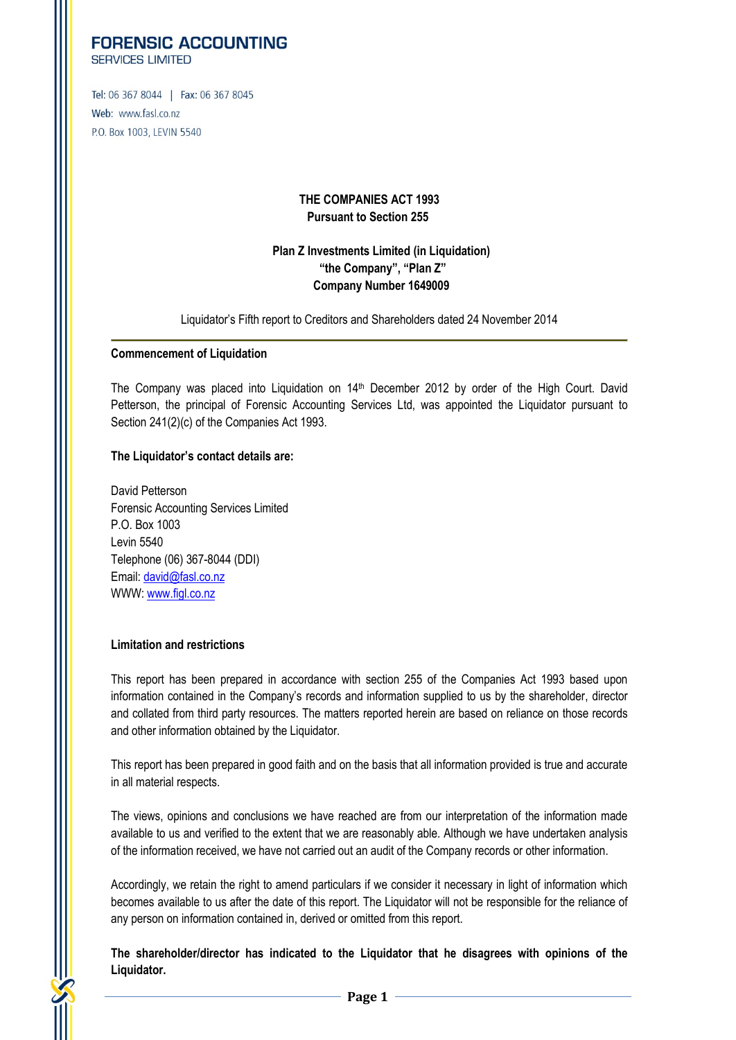# **FORENSIC ACCOUNTING**

**SERVICES LIMITED** 

Tel: 06 367 8044 | Fax: 06 367 8045 Web: www.fasl.co.nz P.O. Box 1003, LEVIN 5540

## **THE COMPANIES ACT 1993 Pursuant to Section 255**

# **Plan Z Investments Limited (in Liquidation) "the Company", "Plan Z" Company Number 1649009**

Liquidator's Fifth report to Creditors and Shareholders dated 24 November 2014

## **Commencement of Liquidation**

The Company was placed into Liquidation on 14th December 2012 by order of the High Court. David Petterson, the principal of Forensic Accounting Services Ltd, was appointed the Liquidator pursuant to Section 241(2)(c) of the Companies Act 1993.

## **The Liquidator's contact details are:**

David Petterson Forensic Accounting Services Limited P.O. Box 1003 Levin 5540 Telephone (06) 367-8044 (DDI) Email: [david@fasl.co.nz](mailto:david@fasl.co.nz) WWW: [www.figl.co.nz](http://www.figl.co.nz/)

# **Limitation and restrictions**

This report has been prepared in accordance with section 255 of the Companies Act 1993 based upon information contained in the Company's records and information supplied to us by the shareholder, director and collated from third party resources. The matters reported herein are based on reliance on those records and other information obtained by the Liquidator.

This report has been prepared in good faith and on the basis that all information provided is true and accurate in all material respects.

The views, opinions and conclusions we have reached are from our interpretation of the information made available to us and verified to the extent that we are reasonably able. Although we have undertaken analysis of the information received, we have not carried out an audit of the Company records or other information.

Accordingly, we retain the right to amend particulars if we consider it necessary in light of information which becomes available to us after the date of this report. The Liquidator will not be responsible for the reliance of any person on information contained in, derived or omitted from this report.

**The shareholder/director has indicated to the Liquidator that he disagrees with opinions of the Liquidator.**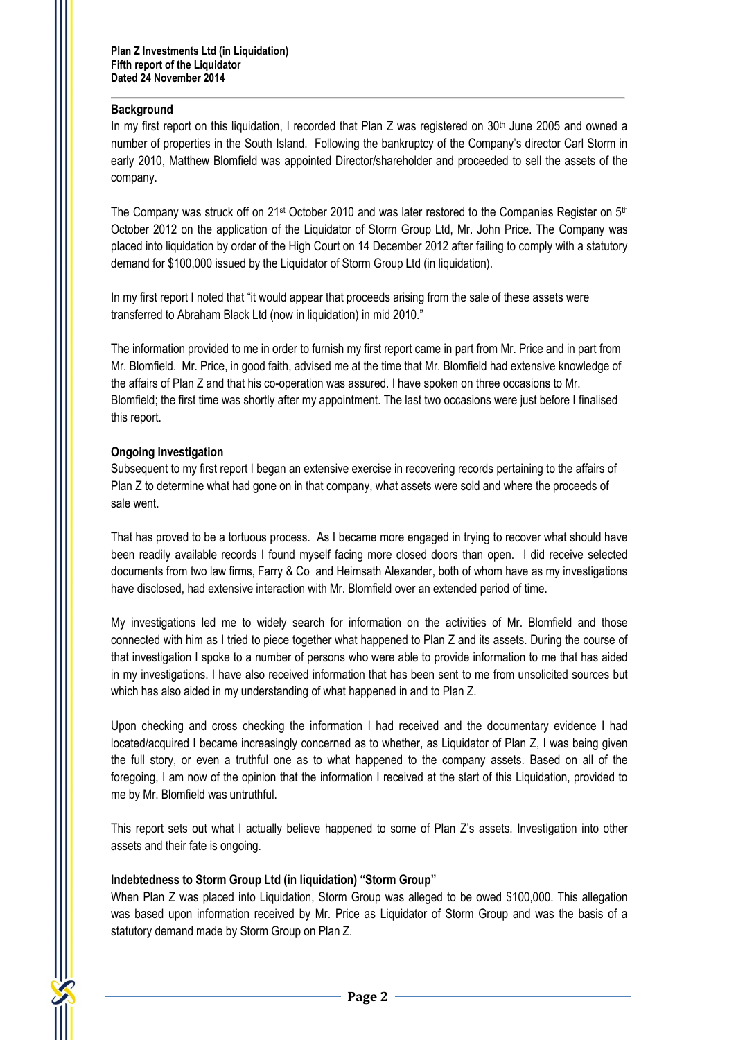## **Background**

In my first report on this liquidation, I recorded that Plan Z was registered on  $30<sup>th</sup>$  June 2005 and owned a number of properties in the South Island. Following the bankruptcy of the Company's director Carl Storm in early 2010, Matthew Blomfield was appointed Director/shareholder and proceeded to sell the assets of the company.

The Company was struck off on 21st October 2010 and was later restored to the Companies Register on 5th October 2012 on the application of the Liquidator of Storm Group Ltd, Mr. John Price. The Company was placed into liquidation by order of the High Court on 14 December 2012 after failing to comply with a statutory demand for \$100,000 issued by the Liquidator of Storm Group Ltd (in liquidation).

In my first report I noted that "it would appear that proceeds arising from the sale of these assets were transferred to Abraham Black Ltd (now in liquidation) in mid 2010."

The information provided to me in order to furnish my first report came in part from Mr. Price and in part from Mr. Blomfield. Mr. Price, in good faith, advised me at the time that Mr. Blomfield had extensive knowledge of the affairs of Plan Z and that his co-operation was assured. I have spoken on three occasions to Mr. Blomfield; the first time was shortly after my appointment. The last two occasions were just before I finalised this report.

## **Ongoing Investigation**

Subsequent to my first report I began an extensive exercise in recovering records pertaining to the affairs of Plan Z to determine what had gone on in that company, what assets were sold and where the proceeds of sale went.

That has proved to be a tortuous process. As I became more engaged in trying to recover what should have been readily available records I found myself facing more closed doors than open. I did receive selected documents from two law firms, Farry & Co and Heimsath Alexander, both of whom have as my investigations have disclosed, had extensive interaction with Mr. Blomfield over an extended period of time.

My investigations led me to widely search for information on the activities of Mr. Blomfield and those connected with him as I tried to piece together what happened to Plan Z and its assets. During the course of that investigation I spoke to a number of persons who were able to provide information to me that has aided in my investigations. I have also received information that has been sent to me from unsolicited sources but which has also aided in my understanding of what happened in and to Plan Z.

Upon checking and cross checking the information I had received and the documentary evidence I had located/acquired I became increasingly concerned as to whether, as Liquidator of Plan Z, I was being given the full story, or even a truthful one as to what happened to the company assets. Based on all of the foregoing, I am now of the opinion that the information I received at the start of this Liquidation, provided to me by Mr. Blomfield was untruthful.

This report sets out what I actually believe happened to some of Plan Z's assets. Investigation into other assets and their fate is ongoing.

## **Indebtedness to Storm Group Ltd (in liquidation) "Storm Group"**

When Plan Z was placed into Liquidation, Storm Group was alleged to be owed \$100,000. This allegation was based upon information received by Mr. Price as Liquidator of Storm Group and was the basis of a statutory demand made by Storm Group on Plan Z.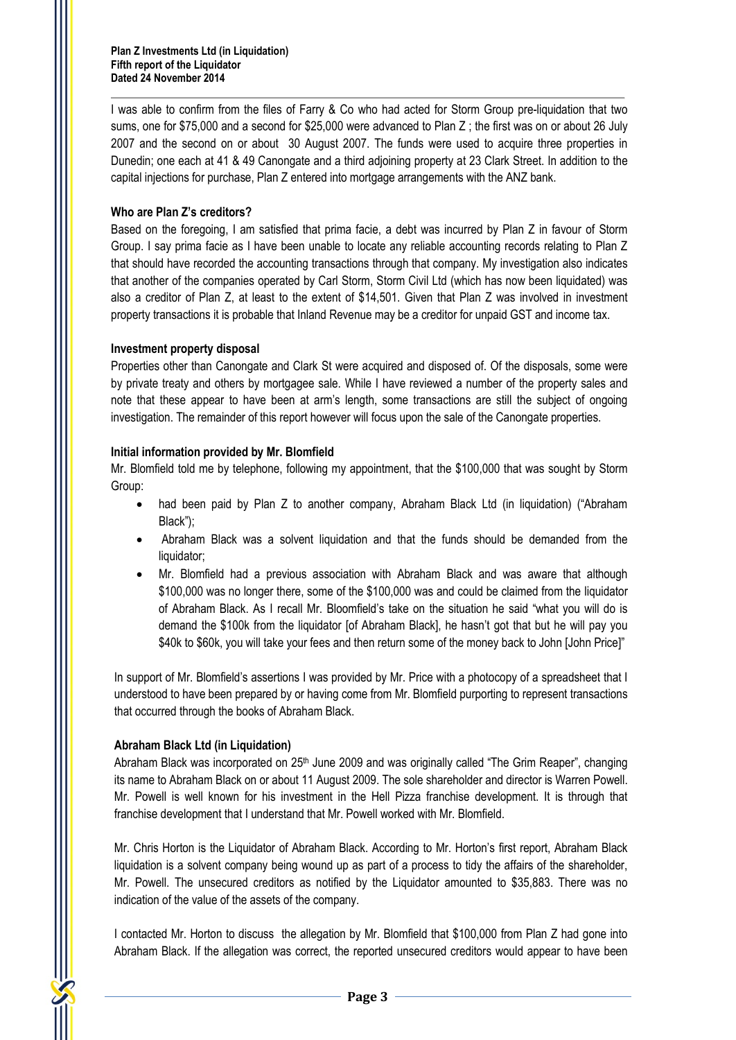I was able to confirm from the files of Farry & Co who had acted for Storm Group pre-liquidation that two sums, one for \$75,000 and a second for \$25,000 were advanced to Plan Z ; the first was on or about 26 July 2007 and the second on or about 30 August 2007. The funds were used to acquire three properties in Dunedin; one each at 41 & 49 Canongate and a third adjoining property at 23 Clark Street. In addition to the capital injections for purchase, Plan Z entered into mortgage arrangements with the ANZ bank.

## **Who are Plan Z's creditors?**

Based on the foregoing, I am satisfied that prima facie, a debt was incurred by Plan Z in favour of Storm Group. I say prima facie as I have been unable to locate any reliable accounting records relating to Plan Z that should have recorded the accounting transactions through that company. My investigation also indicates that another of the companies operated by Carl Storm, Storm Civil Ltd (which has now been liquidated) was also a creditor of Plan Z, at least to the extent of \$14,501. Given that Plan Z was involved in investment property transactions it is probable that Inland Revenue may be a creditor for unpaid GST and income tax.

## **Investment property disposal**

Properties other than Canongate and Clark St were acquired and disposed of. Of the disposals, some were by private treaty and others by mortgagee sale. While I have reviewed a number of the property sales and note that these appear to have been at arm's length, some transactions are still the subject of ongoing investigation. The remainder of this report however will focus upon the sale of the Canongate properties.

## **Initial information provided by Mr. Blomfield**

Mr. Blomfield told me by telephone, following my appointment, that the \$100,000 that was sought by Storm Group:

- had been paid by Plan Z to another company, Abraham Black Ltd (in liquidation) ("Abraham Black");
- Abraham Black was a solvent liquidation and that the funds should be demanded from the liquidator;
- Mr. Blomfield had a previous association with Abraham Black and was aware that although \$100,000 was no longer there, some of the \$100,000 was and could be claimed from the liquidator of Abraham Black. As I recall Mr. Bloomfield's take on the situation he said "what you will do is demand the \$100k from the liquidator [of Abraham Black], he hasn't got that but he will pay you \$40k to \$60k, you will take your fees and then return some of the money back to John [John Price]"

In support of Mr. Blomfield's assertions I was provided by Mr. Price with a photocopy of a spreadsheet that I understood to have been prepared by or having come from Mr. Blomfield purporting to represent transactions that occurred through the books of Abraham Black.

## **Abraham Black Ltd (in Liquidation)**

Abraham Black was incorporated on 25<sup>th</sup> June 2009 and was originally called "The Grim Reaper", changing its name to Abraham Black on or about 11 August 2009. The sole shareholder and director is Warren Powell. Mr. Powell is well known for his investment in the Hell Pizza franchise development. It is through that franchise development that I understand that Mr. Powell worked with Mr. Blomfield.

Mr. Chris Horton is the Liquidator of Abraham Black. According to Mr. Horton's first report, Abraham Black liquidation is a solvent company being wound up as part of a process to tidy the affairs of the shareholder, Mr. Powell. The unsecured creditors as notified by the Liquidator amounted to \$35,883. There was no indication of the value of the assets of the company.

I contacted Mr. Horton to discuss the allegation by Mr. Blomfield that \$100,000 from Plan Z had gone into Abraham Black. If the allegation was correct, the reported unsecured creditors would appear to have been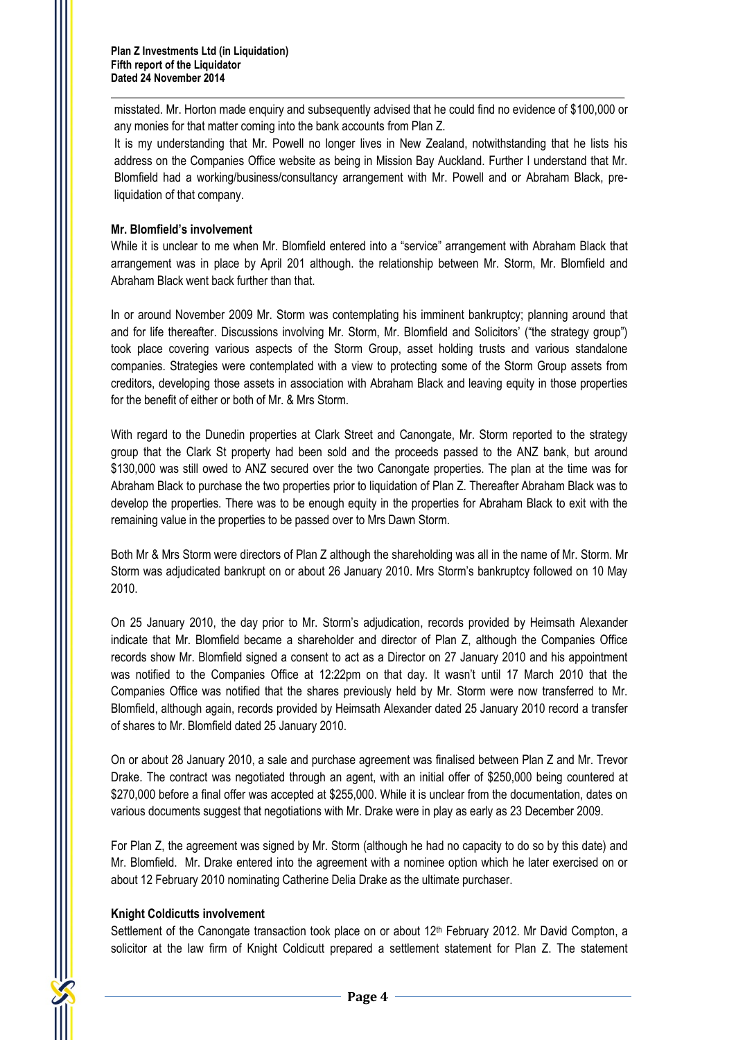misstated. Mr. Horton made enquiry and subsequently advised that he could find no evidence of \$100,000 or any monies for that matter coming into the bank accounts from Plan Z.

It is my understanding that Mr. Powell no longer lives in New Zealand, notwithstanding that he lists his address on the Companies Office website as being in Mission Bay Auckland. Further I understand that Mr. Blomfield had a working/business/consultancy arrangement with Mr. Powell and or Abraham Black, preliquidation of that company.

## **Mr. Blomfield's involvement**

While it is unclear to me when Mr. Blomfield entered into a "service" arrangement with Abraham Black that arrangement was in place by April 201 although. the relationship between Mr. Storm, Mr. Blomfield and Abraham Black went back further than that.

In or around November 2009 Mr. Storm was contemplating his imminent bankruptcy; planning around that and for life thereafter. Discussions involving Mr. Storm, Mr. Blomfield and Solicitors' ("the strategy group") took place covering various aspects of the Storm Group, asset holding trusts and various standalone companies. Strategies were contemplated with a view to protecting some of the Storm Group assets from creditors, developing those assets in association with Abraham Black and leaving equity in those properties for the benefit of either or both of Mr. & Mrs Storm.

With regard to the Dunedin properties at Clark Street and Canongate, Mr. Storm reported to the strategy group that the Clark St property had been sold and the proceeds passed to the ANZ bank, but around \$130,000 was still owed to ANZ secured over the two Canongate properties. The plan at the time was for Abraham Black to purchase the two properties prior to liquidation of Plan Z. Thereafter Abraham Black was to develop the properties. There was to be enough equity in the properties for Abraham Black to exit with the remaining value in the properties to be passed over to Mrs Dawn Storm.

Both Mr & Mrs Storm were directors of Plan Z although the shareholding was all in the name of Mr. Storm. Mr Storm was adjudicated bankrupt on or about 26 January 2010. Mrs Storm's bankruptcy followed on 10 May 2010.

On 25 January 2010, the day prior to Mr. Storm's adjudication, records provided by Heimsath Alexander indicate that Mr. Blomfield became a shareholder and director of Plan Z, although the Companies Office records show Mr. Blomfield signed a consent to act as a Director on 27 January 2010 and his appointment was notified to the Companies Office at 12:22pm on that day. It wasn't until 17 March 2010 that the Companies Office was notified that the shares previously held by Mr. Storm were now transferred to Mr. Blomfield, although again, records provided by Heimsath Alexander dated 25 January 2010 record a transfer of shares to Mr. Blomfield dated 25 January 2010.

On or about 28 January 2010, a sale and purchase agreement was finalised between Plan Z and Mr. Trevor Drake. The contract was negotiated through an agent, with an initial offer of \$250,000 being countered at \$270,000 before a final offer was accepted at \$255,000. While it is unclear from the documentation, dates on various documents suggest that negotiations with Mr. Drake were in play as early as 23 December 2009.

For Plan Z, the agreement was signed by Mr. Storm (although he had no capacity to do so by this date) and Mr. Blomfield. Mr. Drake entered into the agreement with a nominee option which he later exercised on or about 12 February 2010 nominating Catherine Delia Drake as the ultimate purchaser.

# **Knight Coldicutts involvement**

Settlement of the Canongate transaction took place on or about 12<sup>th</sup> February 2012. Mr David Compton, a solicitor at the law firm of Knight Coldicutt prepared a settlement statement for Plan Z. The statement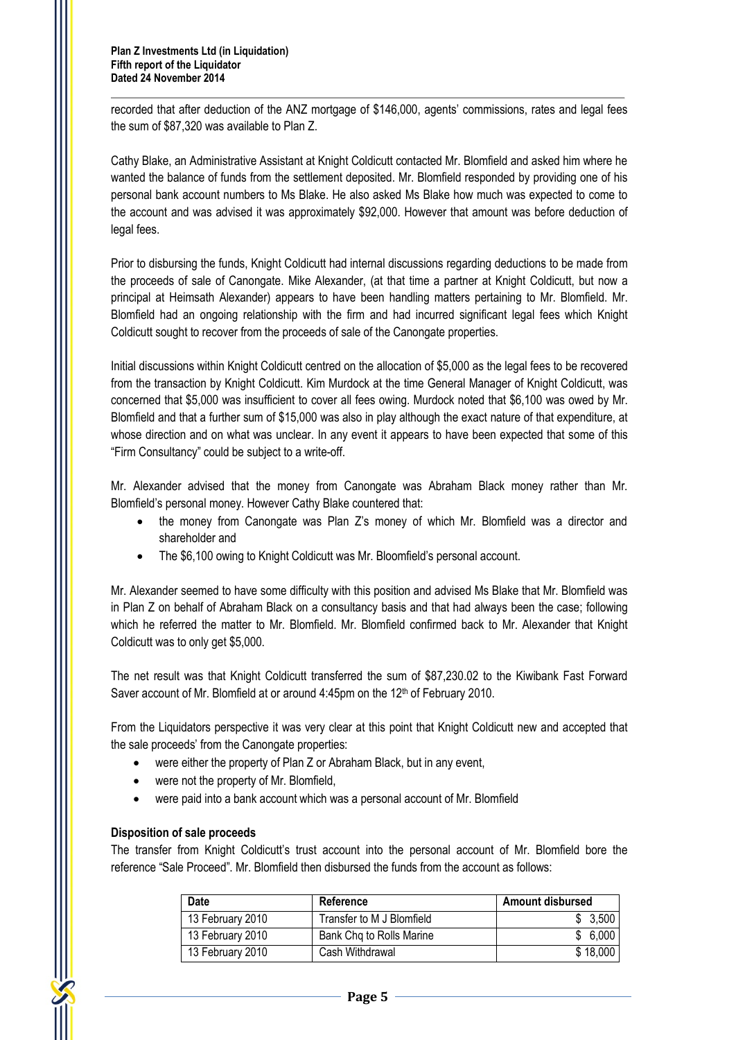**Plan Z Investments Ltd (in Liquidation) Fifth report of the Liquidator Dated 24 November 2014**

recorded that after deduction of the ANZ mortgage of \$146,000, agents' commissions, rates and legal fees the sum of \$87,320 was available to Plan Z.

Cathy Blake, an Administrative Assistant at Knight Coldicutt contacted Mr. Blomfield and asked him where he wanted the balance of funds from the settlement deposited. Mr. Blomfield responded by providing one of his personal bank account numbers to Ms Blake. He also asked Ms Blake how much was expected to come to the account and was advised it was approximately \$92,000. However that amount was before deduction of legal fees.

Prior to disbursing the funds, Knight Coldicutt had internal discussions regarding deductions to be made from the proceeds of sale of Canongate. Mike Alexander, (at that time a partner at Knight Coldicutt, but now a principal at Heimsath Alexander) appears to have been handling matters pertaining to Mr. Blomfield. Mr. Blomfield had an ongoing relationship with the firm and had incurred significant legal fees which Knight Coldicutt sought to recover from the proceeds of sale of the Canongate properties.

Initial discussions within Knight Coldicutt centred on the allocation of \$5,000 as the legal fees to be recovered from the transaction by Knight Coldicutt. Kim Murdock at the time General Manager of Knight Coldicutt, was concerned that \$5,000 was insufficient to cover all fees owing. Murdock noted that \$6,100 was owed by Mr. Blomfield and that a further sum of \$15,000 was also in play although the exact nature of that expenditure, at whose direction and on what was unclear. In any event it appears to have been expected that some of this "Firm Consultancy" could be subject to a write-off.

Mr. Alexander advised that the money from Canongate was Abraham Black money rather than Mr. Blomfield's personal money. However Cathy Blake countered that:

- the money from Canongate was Plan Z's money of which Mr. Blomfield was a director and shareholder and
- The \$6,100 owing to Knight Coldicutt was Mr. Bloomfield's personal account.

Mr. Alexander seemed to have some difficulty with this position and advised Ms Blake that Mr. Blomfield was in Plan Z on behalf of Abraham Black on a consultancy basis and that had always been the case; following which he referred the matter to Mr. Blomfield. Mr. Blomfield confirmed back to Mr. Alexander that Knight Coldicutt was to only get \$5,000.

The net result was that Knight Coldicutt transferred the sum of \$87,230.02 to the Kiwibank Fast Forward Saver account of Mr. Blomfield at or around 4:45pm on the 12<sup>th</sup> of February 2010.

From the Liquidators perspective it was very clear at this point that Knight Coldicutt new and accepted that the sale proceeds' from the Canongate properties:

- were either the property of Plan Z or Abraham Black, but in any event,
- were not the property of Mr. Blomfield,
- were paid into a bank account which was a personal account of Mr. Blomfield

## **Disposition of sale proceeds**

The transfer from Knight Coldicutt's trust account into the personal account of Mr. Blomfield bore the reference "Sale Proceed". Mr. Blomfield then disbursed the funds from the account as follows:

| Date             | Reference                 | <b>Amount disbursed</b> |  |
|------------------|---------------------------|-------------------------|--|
| 13 February 2010 | Transfer to M J Blomfield | \$3,500                 |  |
| 13 February 2010 | Bank Chq to Rolls Marine  | \$6,000                 |  |
| 13 February 2010 | Cash Withdrawal           | \$18,000                |  |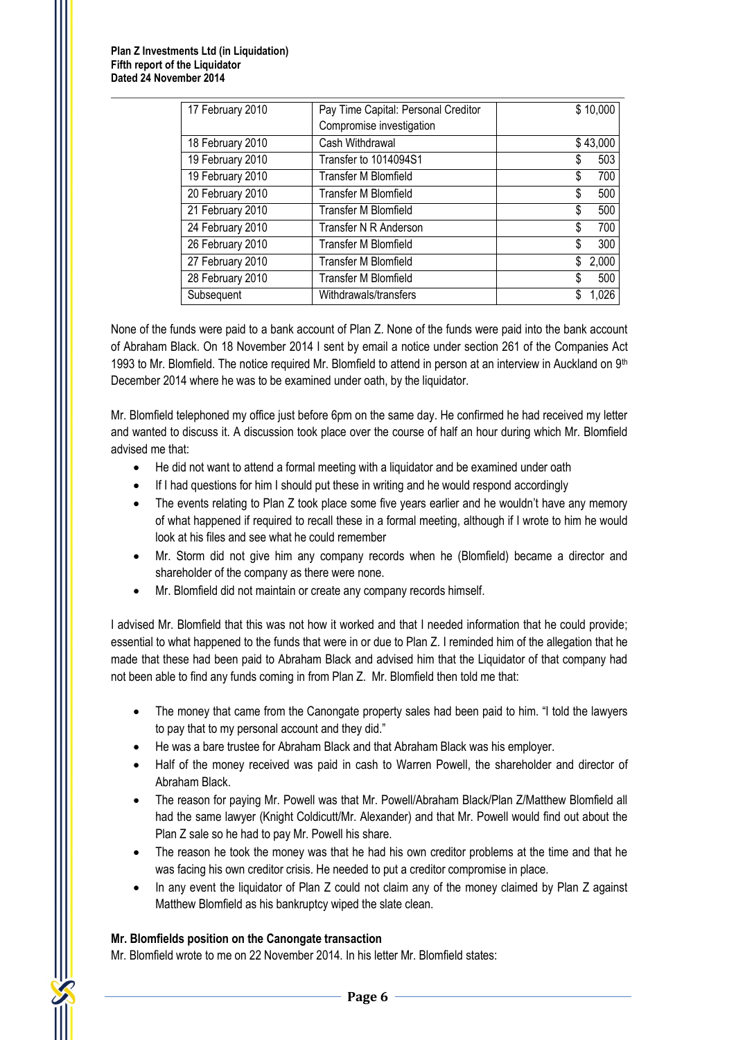| 17 February 2010 | Pay Time Capital: Personal Creditor |    | \$10,000 |
|------------------|-------------------------------------|----|----------|
|                  | Compromise investigation            |    |          |
| 18 February 2010 | Cash Withdrawal                     |    | \$43,000 |
| 19 February 2010 | Transfer to 1014094S1               | S  | 503      |
| 19 February 2010 | <b>Transfer M Blomfield</b>         | \$ | 700      |
| 20 February 2010 | Transfer M Blomfield                | \$ | 500      |
| 21 February 2010 | Transfer M Blomfield                | \$ | 500      |
| 24 February 2010 | Transfer N R Anderson               | \$ | 700      |
| 26 February 2010 | <b>Transfer M Blomfield</b>         | \$ | 300      |
| 27 February 2010 | <b>Transfer M Blomfield</b>         | \$ | 2,000    |
| 28 February 2010 | <b>Transfer M Blomfield</b>         | \$ | 500      |
| Subsequent       | Withdrawals/transfers               | \$ | 1,026    |

None of the funds were paid to a bank account of Plan Z. None of the funds were paid into the bank account of Abraham Black. On 18 November 2014 I sent by email a notice under section 261 of the Companies Act 1993 to Mr. Blomfield. The notice required Mr. Blomfield to attend in person at an interview in Auckland on  $9<sup>th</sup>$ December 2014 where he was to be examined under oath, by the liquidator.

Mr. Blomfield telephoned my office just before 6pm on the same day. He confirmed he had received my letter and wanted to discuss it. A discussion took place over the course of half an hour during which Mr. Blomfield advised me that:

- He did not want to attend a formal meeting with a liquidator and be examined under oath
- If I had questions for him I should put these in writing and he would respond accordingly
- The events relating to Plan Z took place some five years earlier and he wouldn't have any memory of what happened if required to recall these in a formal meeting, although if I wrote to him he would look at his files and see what he could remember
- Mr. Storm did not give him any company records when he (Blomfield) became a director and shareholder of the company as there were none.
- Mr. Blomfield did not maintain or create any company records himself.

I advised Mr. Blomfield that this was not how it worked and that I needed information that he could provide; essential to what happened to the funds that were in or due to Plan Z. I reminded him of the allegation that he made that these had been paid to Abraham Black and advised him that the Liquidator of that company had not been able to find any funds coming in from Plan Z. Mr. Blomfield then told me that:

- The money that came from the Canongate property sales had been paid to him. "I told the lawyers to pay that to my personal account and they did."
- He was a bare trustee for Abraham Black and that Abraham Black was his employer.
- Half of the money received was paid in cash to Warren Powell, the shareholder and director of Abraham Black.
- The reason for paying Mr. Powell was that Mr. Powell/Abraham Black/Plan Z/Matthew Blomfield all had the same lawyer (Knight Coldicutt/Mr. Alexander) and that Mr. Powell would find out about the Plan Z sale so he had to pay Mr. Powell his share.
- The reason he took the money was that he had his own creditor problems at the time and that he was facing his own creditor crisis. He needed to put a creditor compromise in place.
- In any event the liquidator of Plan Z could not claim any of the money claimed by Plan Z against Matthew Blomfield as his bankruptcy wiped the slate clean.

## **Mr. Blomfields position on the Canongate transaction**

Mr. Blomfield wrote to me on 22 November 2014. In his letter Mr. Blomfield states: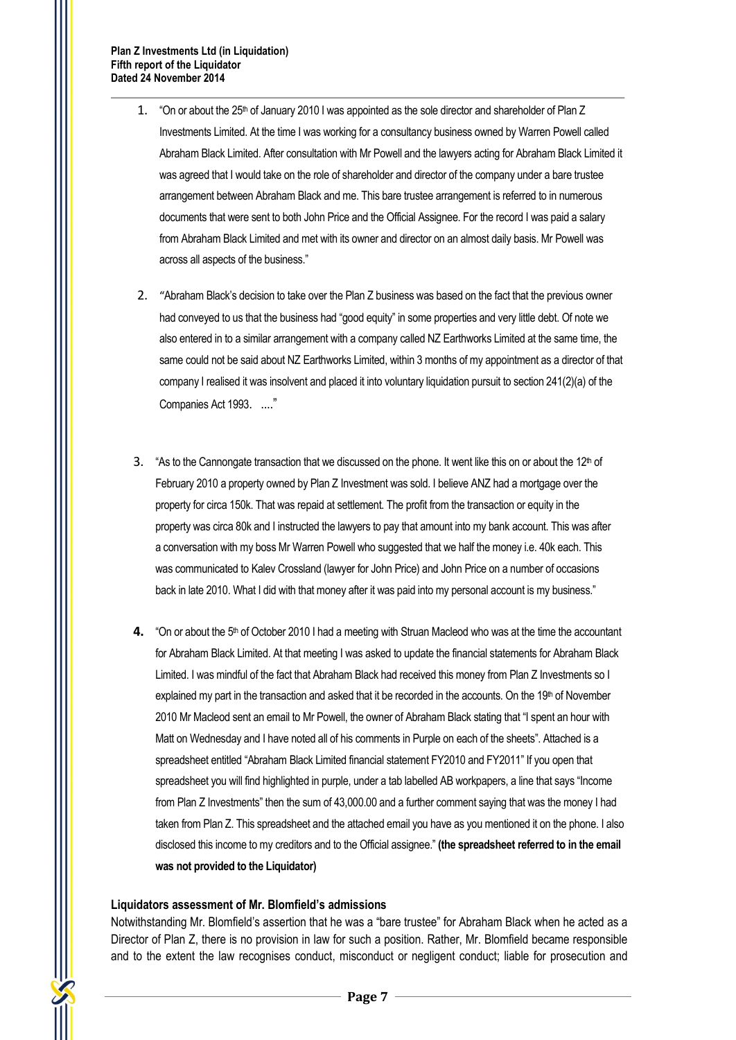- 1. "On or about the 25<sup>th</sup> of January 2010 I was appointed as the sole director and shareholder of Plan Z Investments Limited. At the time I was working for a consultancy business owned by Warren Powell called Abraham Black Limited. After consultation with Mr Powell and the lawyers acting for Abraham Black Limited it was agreed that I would take on the role of shareholder and director of the company under a bare trustee arrangement between Abraham Black and me. This bare trustee arrangement is referred to in numerous documents that were sent to both John Price and the Official Assignee. For the record I was paid a salary from Abraham Black Limited and met with its owner and director on an almost daily basis. Mr Powell was across all aspects of the business."
- 2. "Abraham Black's decision to take over the Plan Z business was based on the fact that the previous owner had conveyed to us that the business had "good equity" in some properties and very little debt. Of note we also entered in to a similar arrangement with a company called NZ Earthworks Limited at the same time, the same could not be said about NZ Earthworks Limited, within 3 months of my appointment as a director of that company I realised it was insolvent and placed it into voluntary liquidation pursuit to section 241(2)(a) of the Companies Act 1993. ...."
- 3. "As to the Cannongate transaction that we discussed on the phone. It went like this on or about the 12<sup>th</sup> of February 2010 a property owned by Plan Z Investment was sold. I believe ANZ had a mortgage over the property for circa 150k. That was repaid at settlement. The profit from the transaction or equity in the property was circa 80k and I instructed the lawyers to pay that amount into my bank account. This was after a conversation with my boss Mr Warren Powell who suggested that we half the money i.e. 40k each. This was communicated to Kalev Crossland (lawyer for John Price) and John Price on a number of occasions back in late 2010. What I did with that money after it was paid into my personal account is my business."
- **4.** "On or about the 5<sup>th</sup> of October 2010 I had a meeting with Struan Macleod who was at the time the accountant for Abraham Black Limited. At that meeting I was asked to update the financial statements for Abraham Black Limited. I was mindful of the fact that Abraham Black had received this money from Plan Z Investments so I explained my part in the transaction and asked that it be recorded in the accounts. On the 19th of November 2010 Mr Macleod sent an email to Mr Powell, the owner of Abraham Black stating that "I spent an hour with Matt on Wednesday and I have noted all of his comments in Purple on each of the sheets". Attached is a spreadsheet entitled "Abraham Black Limited financial statement FY2010 and FY2011" If you open that spreadsheet you will find highlighted in purple, under a tab labelled AB workpapers, a line that says "Income from Plan Z Investments" then the sum of 43,000.00 and a further comment saying that was the money I had taken from Plan Z. This spreadsheet and the attached email you have as you mentioned it on the phone. I also disclosed this income to my creditors and to the Official assignee." **(the spreadsheet referred to in the email was not provided to the Liquidator)**

#### **Liquidators assessment of Mr. Blomfield's admissions**

Notwithstanding Mr. Blomfield's assertion that he was a "bare trustee" for Abraham Black when he acted as a Director of Plan Z, there is no provision in law for such a position. Rather, Mr. Blomfield became responsible and to the extent the law recognises conduct, misconduct or negligent conduct; liable for prosecution and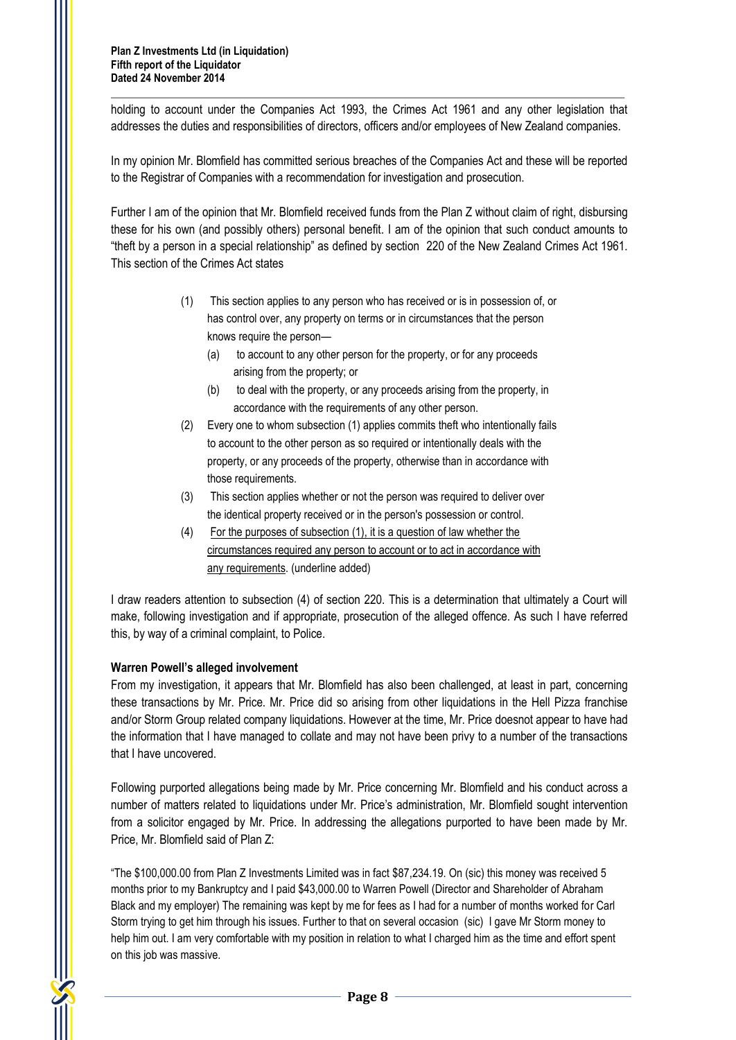holding to account under the Companies Act 1993, the Crimes Act 1961 and any other legislation that addresses the duties and responsibilities of directors, officers and/or employees of New Zealand companies.

In my opinion Mr. Blomfield has committed serious breaches of the Companies Act and these will be reported to the Registrar of Companies with a recommendation for investigation and prosecution.

Further I am of the opinion that Mr. Blomfield received funds from the Plan Z without claim of right, disbursing these for his own (and possibly others) personal benefit. I am of the opinion that such conduct amounts to "theft by a person in a special relationship" as defined by section 220 of the New Zealand Crimes Act 1961. This section of the Crimes Act states

- (1) This section applies to any person who has received or is in possession of, or has control over, any property on terms or in circumstances that the person knows require the person—
	- (a) to account to any other person for the property, or for any proceeds arising from the property; or
	- (b) to deal with the property, or any proceeds arising from the property, in accordance with the requirements of any other person.
- (2) Every one to whom subsection (1) applies commits theft who intentionally fails to account to the other person as so required or intentionally deals with the property, or any proceeds of the property, otherwise than in accordance with those requirements.
- (3) This section applies whether or not the person was required to deliver over the identical property received or in the person's possession or control.
- (4) For the purposes of subsection (1), it is a question of law whether the circumstances required any person to account or to act in accordance with any requirements. (underline added)

I draw readers attention to subsection (4) of section 220. This is a determination that ultimately a Court will make, following investigation and if appropriate, prosecution of the alleged offence. As such I have referred this, by way of a criminal complaint, to Police.

# **Warren Powell's alleged involvement**

From my investigation, it appears that Mr. Blomfield has also been challenged, at least in part, concerning these transactions by Mr. Price. Mr. Price did so arising from other liquidations in the Hell Pizza franchise and/or Storm Group related company liquidations. However at the time, Mr. Price doesnot appear to have had the information that I have managed to collate and may not have been privy to a number of the transactions that I have uncovered.

Following purported allegations being made by Mr. Price concerning Mr. Blomfield and his conduct across a number of matters related to liquidations under Mr. Price's administration, Mr. Blomfield sought intervention from a solicitor engaged by Mr. Price. In addressing the allegations purported to have been made by Mr. Price, Mr. Blomfield said of Plan Z:

"The \$100,000.00 from Plan Z Investments Limited was in fact \$87,234.19. On (sic) this money was received 5 months prior to my Bankruptcy and I paid \$43,000.00 to Warren Powell (Director and Shareholder of Abraham Black and my employer) The remaining was kept by me for fees as I had for a number of months worked for Carl Storm trying to get him through his issues. Further to that on several occasion (sic) I gave Mr Storm money to help him out. I am very comfortable with my position in relation to what I charged him as the time and effort spent on this job was massive.